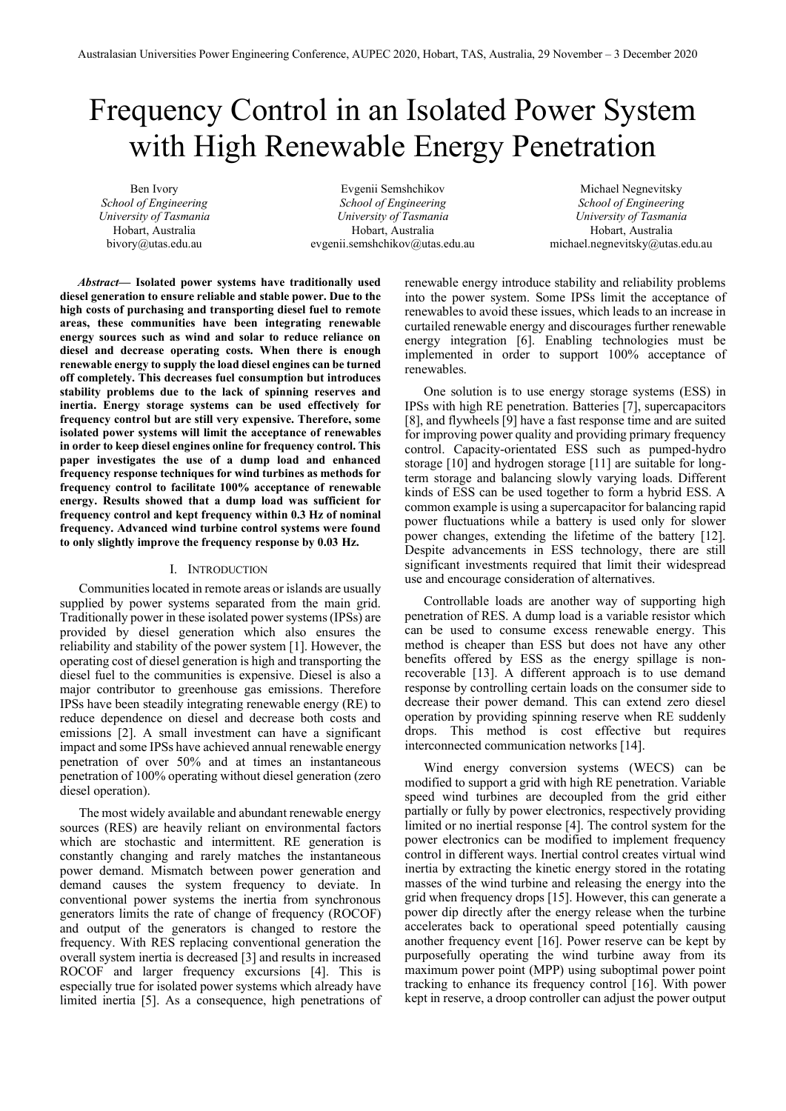# Frequency Control in an Isolated Power System with High Renewable Energy Penetration

Ben Ivory *School of Engineering University of Tasmania* Hobart, Australia bivory@utas.edu.au

Evgenii Semshchikov *School of Engineering University of Tasmania* Hobart, Australia evgenii.semshchikov@utas.edu.au

Michael Negnevitsky *School of Engineering University of Tasmania* Hobart, Australia michael.negnevitsky@utas.edu.au

*Abstract***— Isolated power systems have traditionally used diesel generation to ensure reliable and stable power. Due to the high costs of purchasing and transporting diesel fuel to remote areas, these communities have been integrating renewable energy sources such as wind and solar to reduce reliance on diesel and decrease operating costs. When there is enough renewable energy to supply the load diesel engines can be turned off completely. This decreases fuel consumption but introduces stability problems due to the lack of spinning reserves and inertia. Energy storage systems can be used effectively for frequency control but are still very expensive. Therefore, some isolated power systems will limit the acceptance of renewables in order to keep diesel engines online for frequency control. This paper investigates the use of a dump load and enhanced frequency response techniques for wind turbines as methods for frequency control to facilitate 100% acceptance of renewable energy. Results showed that a dump load was sufficient for frequency control and kept frequency within 0.3 Hz of nominal frequency. Advanced wind turbine control systems were found to only slightly improve the frequency response by 0.03 Hz.**

# I. INTRODUCTION

Communities located in remote areas or islands are usually supplied by power systems separated from the main grid. Traditionally power in these isolated power systems (IPSs) are provided by diesel generation which also ensures the reliability and stability of the power system [1]. However, the operating cost of diesel generation is high and transporting the diesel fuel to the communities is expensive. Diesel is also a major contributor to greenhouse gas emissions. Therefore IPSs have been steadily integrating renewable energy (RE) to reduce dependence on diesel and decrease both costs and emissions [2]. A small investment can have a significant impact and some IPSs have achieved annual renewable energy penetration of over 50% and at times an instantaneous penetration of 100% operating without diesel generation (zero diesel operation).

The most widely available and abundant renewable energy sources (RES) are heavily reliant on environmental factors which are stochastic and intermittent. RE generation is constantly changing and rarely matches the instantaneous power demand. Mismatch between power generation and demand causes the system frequency to deviate. In conventional power systems the inertia from synchronous generators limits the rate of change of frequency (ROCOF) and output of the generators is changed to restore the frequency. With RES replacing conventional generation the overall system inertia is decreased [3] and results in increased ROCOF and larger frequency excursions [4]. This is especially true for isolated power systems which already have limited inertia [5]. As a consequence, high penetrations of renewable energy introduce stability and reliability problems into the power system. Some IPSs limit the acceptance of renewables to avoid these issues, which leads to an increase in curtailed renewable energy and discourages further renewable energy integration [6]. Enabling technologies must be implemented in order to support 100% acceptance of renewables.

One solution is to use energy storage systems (ESS) in IPSs with high RE penetration. Batteries [7], supercapacitors [8], and flywheels [9] have a fast response time and are suited for improving power quality and providing primary frequency control. Capacity-orientated ESS such as pumped-hydro storage [10] and hydrogen storage [11] are suitable for longterm storage and balancing slowly varying loads. Different kinds of ESS can be used together to form a hybrid ESS. A common example is using a supercapacitor for balancing rapid power fluctuations while a battery is used only for slower power changes, extending the lifetime of the battery [12]. Despite advancements in ESS technology, there are still significant investments required that limit their widespread use and encourage consideration of alternatives.

Controllable loads are another way of supporting high penetration of RES. A dump load is a variable resistor which can be used to consume excess renewable energy. This method is cheaper than ESS but does not have any other benefits offered by ESS as the energy spillage is nonrecoverable [13]. A different approach is to use demand response by controlling certain loads on the consumer side to decrease their power demand. This can extend zero diesel operation by providing spinning reserve when RE suddenly drops. This method is cost effective but requires interconnected communication networks [14].

Wind energy conversion systems (WECS) can be modified to support a grid with high RE penetration. Variable speed wind turbines are decoupled from the grid either partially or fully by power electronics, respectively providing limited or no inertial response [4]. The control system for the power electronics can be modified to implement frequency control in different ways. Inertial control creates virtual wind inertia by extracting the kinetic energy stored in the rotating masses of the wind turbine and releasing the energy into the grid when frequency drops [15]. However, this can generate a power dip directly after the energy release when the turbine accelerates back to operational speed potentially causing another frequency event [16]. Power reserve can be kept by purposefully operating the wind turbine away from its maximum power point (MPP) using suboptimal power point tracking to enhance its frequency control [16]. With power kept in reserve, a droop controller can adjust the power output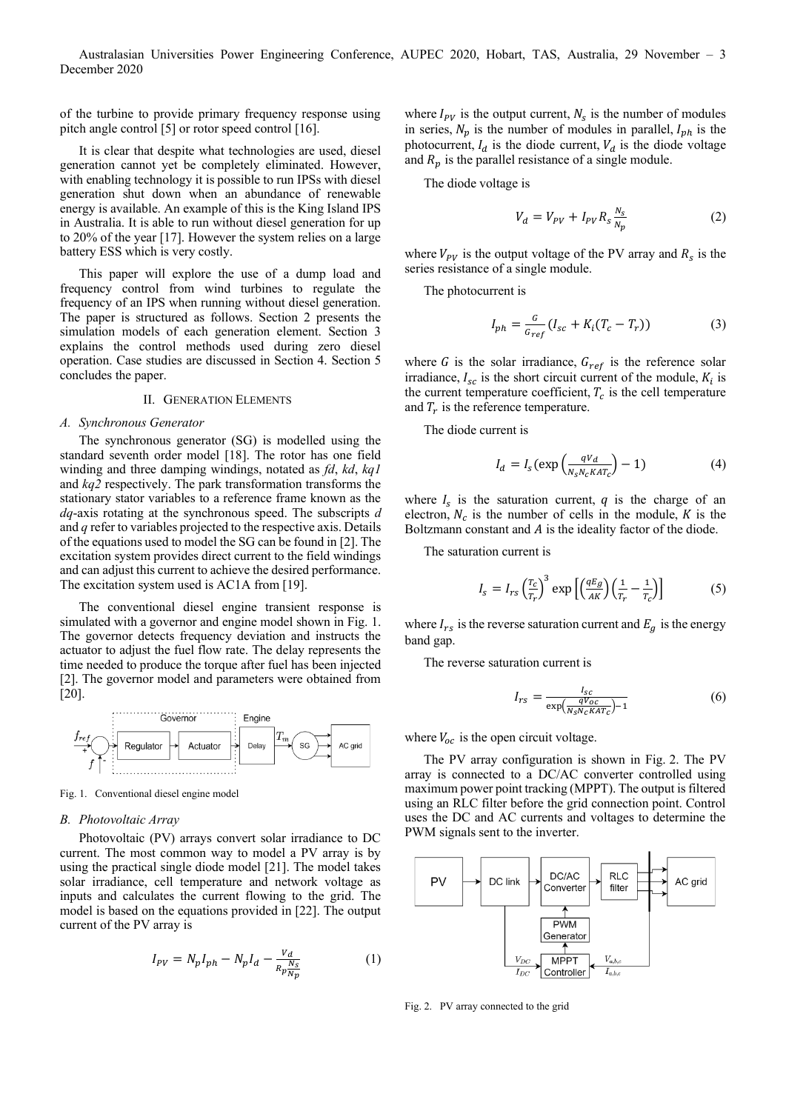Australasian Universities Power Engineering Conference, AUPEC 2020, Hobart, TAS, Australia, 29 November – 3 December 2020

of the turbine to provide primary frequency response using pitch angle control [5] or rotor speed control [16].

It is clear that despite what technologies are used, diesel generation cannot yet be completely eliminated. However, with enabling technology it is possible to run IPSs with diesel generation shut down when an abundance of renewable energy is available. An example of this is the King Island IPS in Australia. It is able to run without diesel generation for up to 20% of the year [17]. However the system relies on a large battery ESS which is very costly.

This paper will explore the use of a dump load and frequency control from wind turbines to regulate the frequency of an IPS when running without diesel generation. The paper is structured as follows. Section 2 presents the simulation models of each generation element. Section 3 explains the control methods used during zero diesel operation. Case studies are discussed in Section 4. Section 5 concludes the paper.

# II. GENERATION ELEMENTS

#### *A. Synchronous Generator*

The synchronous generator (SG) is modelled using the standard seventh order model [18]. The rotor has one field winding and three damping windings, notated as *fd*, *kd*, *kq1* and *kq2* respectively. The park transformation transforms the stationary stator variables to a reference frame known as the *dq*-axis rotating at the synchronous speed. The subscripts *d* and *q* refer to variables projected to the respective axis. Details of the equations used to model the SG can be found in [2]. The excitation system provides direct current to the field windings and can adjust this current to achieve the desired performance. The excitation system used is AC1A from [19].

The conventional diesel engine transient response is simulated with a governor and engine model shown in Fig. 1. The governor detects frequency deviation and instructs the actuator to adjust the fuel flow rate. The delay represents the time needed to produce the torque after fuel has been injected [2]. The governor model and parameters were obtained from [20].



Fig. 1. Conventional diesel engine model

## *B. Photovoltaic Array*

Photovoltaic (PV) arrays convert solar irradiance to DC current. The most common way to model a PV array is by using the practical single diode model [21]. The model takes solar irradiance, cell temperature and network voltage as inputs and calculates the current flowing to the grid. The model is based on the equations provided in [22]. The output current of the PV array is

$$
I_{PV} = N_p I_{ph} - N_p I_d - \frac{V_d}{R_p \frac{N_S}{N_p}}
$$
 (1)

where  $I_{PV}$  is the output current,  $N_s$  is the number of modules in series,  $N_p$  is the number of modules in parallel,  $I_{ph}$  is the photocurrent,  $I_d$  is the diode current,  $V_d$  is the diode voltage and  $R_p$  is the parallel resistance of a single module.

The diode voltage is

$$
V_d = V_{PV} + I_{PV} R_s \frac{N_s}{N_p} \tag{2}
$$

where  $V_{PV}$  is the output voltage of the PV array and  $R_s$  is the series resistance of a single module.

The photocurrent is

$$
I_{ph} = \frac{G}{G_{ref}} (I_{sc} + K_i (T_c - T_r))
$$
 (3)

where G is the solar irradiance,  $G_{ref}$  is the reference solar irradiance,  $I_{sc}$  is the short circuit current of the module,  $K_i$  is the current temperature coefficient,  $T_c$  is the cell temperature and  $T_r$  is the reference temperature.

The diode current is

$$
I_d = I_s(\exp\left(\frac{qV_d}{N_S N_c K A T_c}\right) - 1)
$$
 (4)

where  $I_s$  is the saturation current,  $q$  is the charge of an electron,  $N_c$  is the number of cells in the module, K is the Boltzmann constant and  $A$  is the ideality factor of the diode.

The saturation current is

$$
I_s = I_{rs} \left(\frac{T_c}{T_r}\right)^3 \exp\left[\left(\frac{qE_g}{AK}\right)\left(\frac{1}{T_r} - \frac{1}{T_c}\right)\right]
$$
(5)

where  $I_{rs}$  is the reverse saturation current and  $E_g$  is the energy band gap.

The reverse saturation current is

$$
I_{rs} = \frac{I_{sc}}{\exp(\frac{qV_{oc}}{N_S N_c K A T_c}) - 1}
$$
(6)

where  $V_{oc}$  is the open circuit voltage.

The PV array configuration is shown in Fig. 2. The PV array is connected to a DC/AC converter controlled using maximum power point tracking (MPPT). The output is filtered using an RLC filter before the grid connection point. Control uses the DC and AC currents and voltages to determine the PWM signals sent to the inverter.



Fig. 2. PV array connected to the grid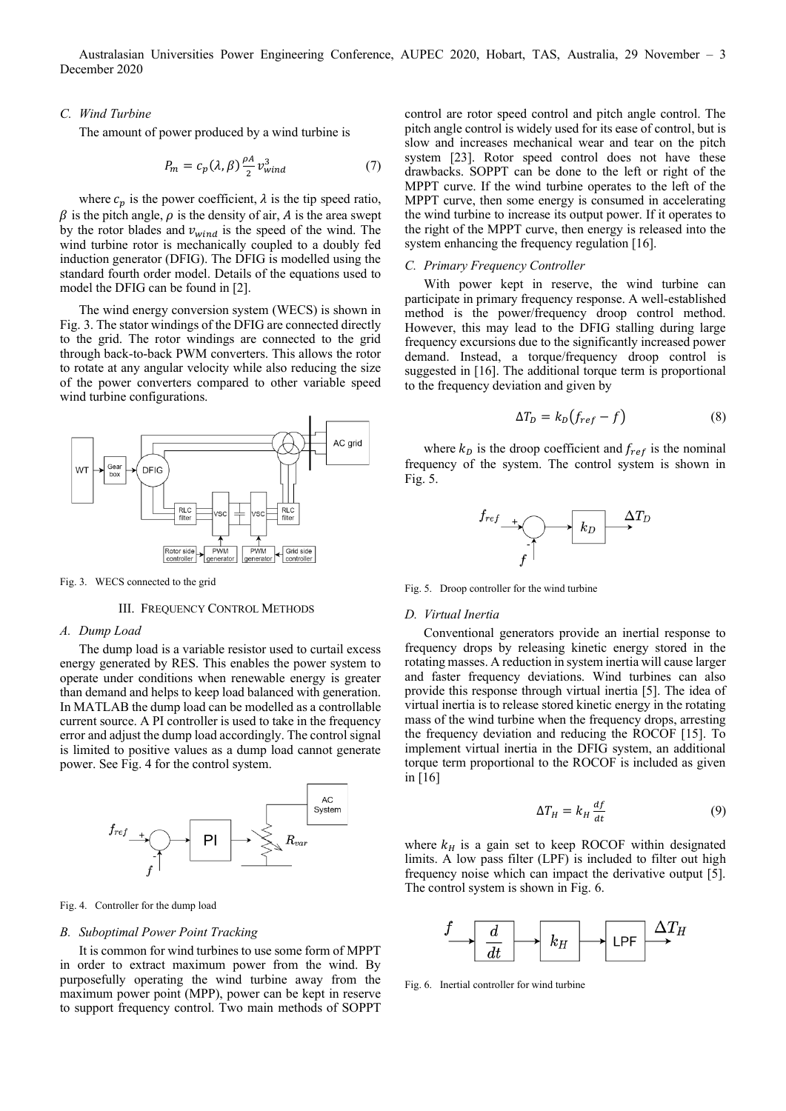# *C. Wind Turbine*

The amount of power produced by a wind turbine is

$$
P_m = c_p(\lambda, \beta) \frac{\rho A}{2} v_{wind}^3 \tag{7}
$$

where  $c_p$  is the power coefficient,  $\lambda$  is the tip speed ratio,  $\beta$  is the pitch angle,  $\rho$  is the density of air, A is the area swept by the rotor blades and  $v_{wind}$  is the speed of the wind. The wind turbine rotor is mechanically coupled to a doubly fed induction generator (DFIG). The DFIG is modelled using the standard fourth order model. Details of the equations used to model the DFIG can be found in [2].

The wind energy conversion system (WECS) is shown in Fig. 3. The stator windings of the DFIG are connected directly to the grid. The rotor windings are connected to the grid through back-to-back PWM converters. This allows the rotor to rotate at any angular velocity while also reducing the size of the power converters compared to other variable speed wind turbine configurations.



Fig. 3. WECS connected to the grid

#### III. FREQUENCY CONTROL METHODS

## *A. Dump Load*

The dump load is a variable resistor used to curtail excess energy generated by RES. This enables the power system to operate under conditions when renewable energy is greater than demand and helps to keep load balanced with generation. In MATLAB the dump load can be modelled as a controllable current source. A PI controller is used to take in the frequency error and adjust the dump load accordingly. The control signal is limited to positive values as a dump load cannot generate power. See Fig. 4 for the control system.



#### Fig. 4. Controller for the dump load

#### *B. Suboptimal Power Point Tracking*

It is common for wind turbines to use some form of MPPT in order to extract maximum power from the wind. By purposefully operating the wind turbine away from the maximum power point (MPP), power can be kept in reserve to support frequency control. Two main methods of SOPPT

control are rotor speed control and pitch angle control. The pitch angle control is widely used for its ease of control, but is slow and increases mechanical wear and tear on the pitch system [23]. Rotor speed control does not have these drawbacks. SOPPT can be done to the left or right of the MPPT curve. If the wind turbine operates to the left of the MPPT curve, then some energy is consumed in accelerating the wind turbine to increase its output power. If it operates to the right of the MPPT curve, then energy is released into the system enhancing the frequency regulation [16].

## *C. Primary Frequency Controller*

With power kept in reserve, the wind turbine can participate in primary frequency response. A well-established method is the power/frequency droop control method. However, this may lead to the DFIG stalling during large frequency excursions due to the significantly increased power demand. Instead, a torque/frequency droop control is suggested in [16]. The additional torque term is proportional to the frequency deviation and given by

$$
\Delta T_D = k_D \big( f_{ref} - f \big) \tag{8}
$$

where  $k_D$  is the droop coefficient and  $f_{ref}$  is the nominal frequency of the system. The control system is shown in Fig. 5.



Fig. 5. Droop controller for the wind turbine

#### *D. Virtual Inertia*

Conventional generators provide an inertial response to frequency drops by releasing kinetic energy stored in the rotating masses. A reduction in system inertia will cause larger and faster frequency deviations. Wind turbines can also provide this response through virtual inertia [5]. The idea of virtual inertia is to release stored kinetic energy in the rotating mass of the wind turbine when the frequency drops, arresting the frequency deviation and reducing the ROCOF [15]. To implement virtual inertia in the DFIG system, an additional torque term proportional to the ROCOF is included as given in [16]

$$
\Delta T_H = k_H \frac{df}{dt} \tag{9}
$$

where  $k_H$  is a gain set to keep ROCOF within designated limits. A low pass filter (LPF) is included to filter out high frequency noise which can impact the derivative output [5]. The control system is shown in Fig. 6.



Fig. 6. Inertial controller for wind turbine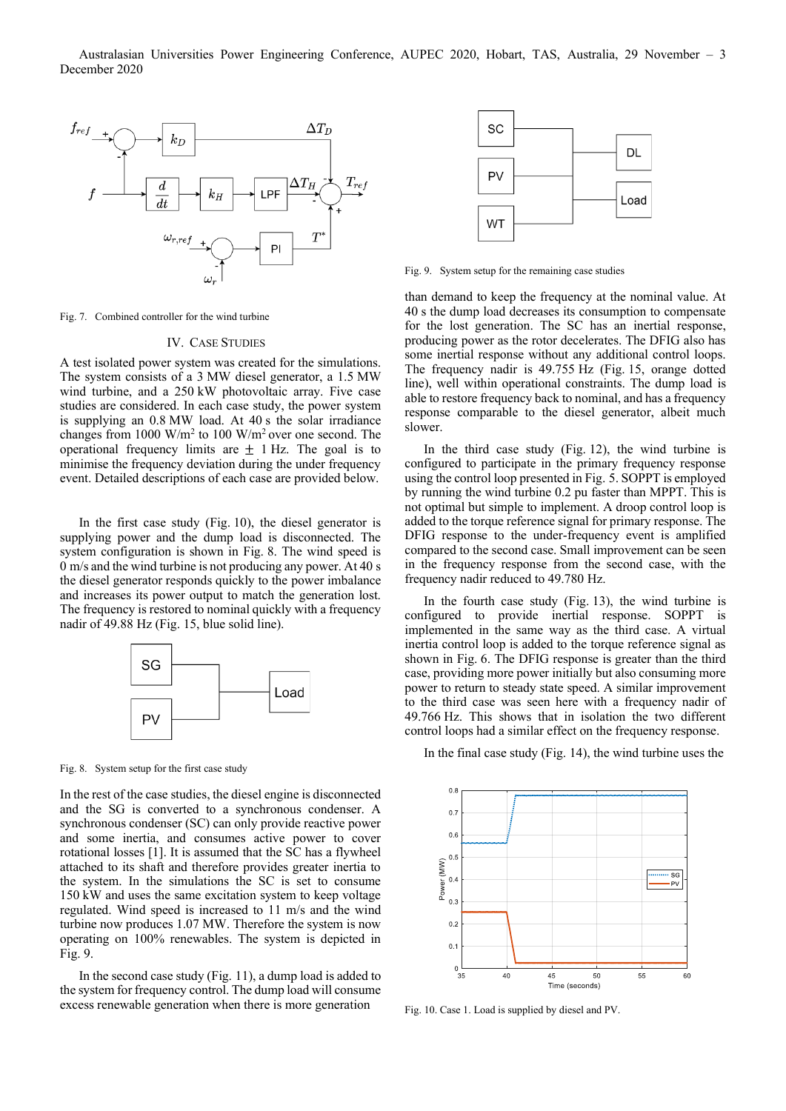

Fig. 7. Combined controller for the wind turbine

#### IV. CASE STUDIES

A test isolated power system was created for the simulations. The system consists of a 3 MW diesel generator, a 1.5 MW wind turbine, and a 250 kW photovoltaic array. Five case studies are considered. In each case study, the power system is supplying an 0.8 MW load. At 40 s the solar irradiance changes from 1000 W/m<sup>2</sup> to 100 W/m<sup>2</sup> over one second. The operational frequency limits are  $\pm$  1 Hz. The goal is to minimise the frequency deviation during the under frequency event. Detailed descriptions of each case are provided below.

In the first case study (Fig. 10), the diesel generator is supplying power and the dump load is disconnected. The system configuration is shown in Fig. 8. The wind speed is 0 m/s and the wind turbine is not producing any power. At 40 s the diesel generator responds quickly to the power imbalance and increases its power output to match the generation lost. The frequency is restored to nominal quickly with a frequency nadir of 49.88 Hz (Fig. 15, blue solid line).



Fig. 8. System setup for the first case study

In the rest of the case studies, the diesel engine is disconnected and the SG is converted to a synchronous condenser. A synchronous condenser (SC) can only provide reactive power and some inertia, and consumes active power to cover rotational losses [1]. It is assumed that the SC has a flywheel attached to its shaft and therefore provides greater inertia to the system. In the simulations the SC is set to consume 150 kW and uses the same excitation system to keep voltage regulated. Wind speed is increased to 11 m/s and the wind turbine now produces 1.07 MW. Therefore the system is now operating on 100% renewables. The system is depicted in Fig. 9.

In the second case study (Fig. 11), a dump load is added to the system for frequency control. The dump load will consume excess renewable generation when there is more generation



Fig. 9. System setup for the remaining case studies

than demand to keep the frequency at the nominal value. At 40 s the dump load decreases its consumption to compensate for the lost generation. The SC has an inertial response, producing power as the rotor decelerates. The DFIG also has some inertial response without any additional control loops. The frequency nadir is 49.755 Hz (Fig. 15, orange dotted line), well within operational constraints. The dump load is able to restore frequency back to nominal, and has a frequency response comparable to the diesel generator, albeit much slower.

In the third case study (Fig. 12), the wind turbine is configured to participate in the primary frequency response using the control loop presented in Fig. 5. SOPPT is employed by running the wind turbine 0.2 pu faster than MPPT. This is not optimal but simple to implement. A droop control loop is added to the torque reference signal for primary response. The DFIG response to the under-frequency event is amplified compared to the second case. Small improvement can be seen in the frequency response from the second case, with the frequency nadir reduced to 49.780 Hz.

In the fourth case study (Fig. 13), the wind turbine is configured to provide inertial response. SOPPT is implemented in the same way as the third case. A virtual inertia control loop is added to the torque reference signal as shown in Fig. 6. The DFIG response is greater than the third case, providing more power initially but also consuming more power to return to steady state speed. A similar improvement to the third case was seen here with a frequency nadir of 49.766 Hz. This shows that in isolation the two different control loops had a similar effect on the frequency response.

In the final case study (Fig. 14), the wind turbine uses the



Fig. 10. Case 1. Load is supplied by diesel and PV.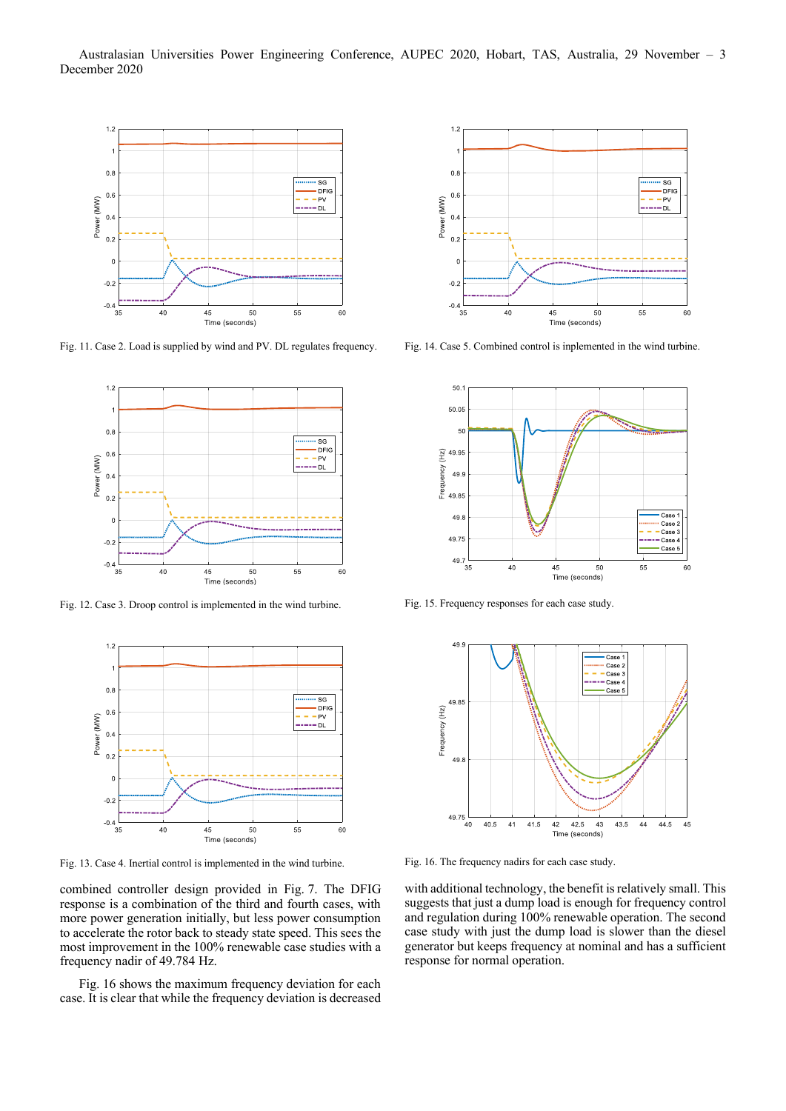Australasian Universities Power Engineering Conference, AUPEC 2020, Hobart, TAS, Australia, 29 November – 3 December 2020



Fig. 11. Case 2. Load is supplied by wind and PV. DL regulates frequency.



Fig. 12. Case 3. Droop control is implemented in the wind turbine.



Fig. 13. Case 4. Inertial control is implemented in the wind turbine.

combined controller design provided in Fig. 7. The DFIG response is a combination of the third and fourth cases, with more power generation initially, but less power consumption to accelerate the rotor back to steady state speed. This sees the most improvement in the 100% renewable case studies with a frequency nadir of 49.784 Hz.

Fig. 16 shows the maximum frequency deviation for each case. It is clear that while the frequency deviation is decreased



Fig. 14. Case 5. Combined control is inplemented in the wind turbine.



Fig. 15. Frequency responses for each case study.



Fig. 16. The frequency nadirs for each case study.

with additional technology, the benefit is relatively small. This suggests that just a dump load is enough for frequency control and regulation during 100% renewable operation. The second case study with just the dump load is slower than the diesel generator but keeps frequency at nominal and has a sufficient response for normal operation.